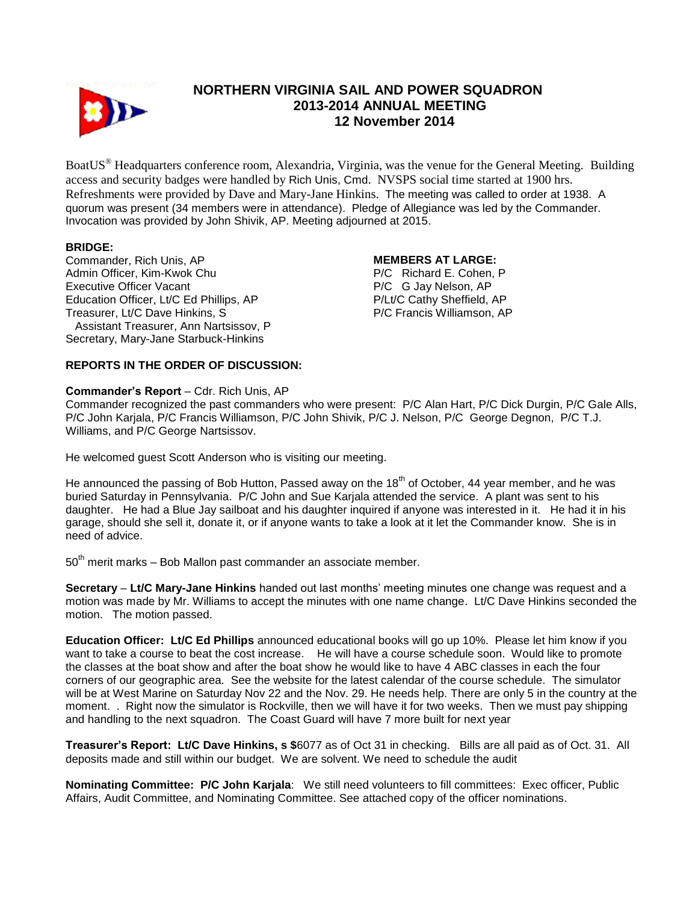

# **NORTHERN VIRGINIA SAIL AND POWER SQUADRON 2013-2014 ANNUAL MEETING 12 November 2014**

BoatUS® Headquarters conference room, Alexandria, Virginia, was the venue for the General Meeting. Building access and security badges were handled by Rich Unis, Cmd. NVSPS social time started at 1900 hrs. Refreshments were provided by Dave and Mary-Jane Hinkins. The meeting was called to order at 1938. A quorum was present (34 members were in attendance). Pledge of Allegiance was led by the Commander. Invocation was provided by John Shivik, AP. Meeting adjourned at 2015.

# **BRIDGE:**

Commander, Rich Unis, AP Admin Officer, Kim-Kwok Chu Executive Officer Vacant Education Officer, Lt/C Ed Phillips, AP Treasurer, Lt/C Dave Hinkins, S Assistant Treasurer, Ann Nartsissov, P Secretary, Mary-Jane Starbuck-Hinkins

### **MEMBERS AT LARGE:**

P/C Richard E. Cohen, P P/C G Jay Nelson, AP P/Lt/C Cathy Sheffield, AP P/C Francis Williamson, AP

# **REPORTS IN THE ORDER OF DISCUSSION:**

### **Commander's Report** – Cdr. Rich Unis, AP

Commander recognized the past commanders who were present: P/C Alan Hart, P/C Dick Durgin, P/C Gale Alls, P/C John Karjala, P/C Francis Williamson, P/C John Shivik, P/C J. Nelson, P/C George Degnon, P/C T.J. Williams, and P/C George Nartsissov.

He welcomed guest Scott Anderson who is visiting our meeting.

He announced the passing of Bob Hutton, Passed away on the 18<sup>th</sup> of October, 44 year member, and he was buried Saturday in Pennsylvania. P/C John and Sue Karjala attended the service. A plant was sent to his daughter. He had a Blue Jay sailboat and his daughter inquired if anyone was interested in it. He had it in his garage, should she sell it, donate it, or if anyone wants to take a look at it let the Commander know. She is in need of advice.

 $50<sup>th</sup>$  merit marks – Bob Mallon past commander an associate member.

**Secretary** – **Lt/C Mary-Jane Hinkins** handed out last months' meeting minutes one change was request and a motion was made by Mr. Williams to accept the minutes with one name change. Lt/C Dave Hinkins seconded the motion. The motion passed.

**Education Officer: Lt/C Ed Phillips** announced educational books will go up 10%. Please let him know if you want to take a course to beat the cost increase. He will have a course schedule soon. Would like to promote the classes at the boat show and after the boat show he would like to have 4 ABC classes in each the four corners of our geographic area. See the website for the latest calendar of the course schedule. The simulator will be at West Marine on Saturday Nov 22 and the Nov. 29. He needs help. There are only 5 in the country at the moment. . Right now the simulator is Rockville, then we will have it for two weeks. Then we must pay shipping and handling to the next squadron. The Coast Guard will have 7 more built for next year

**Treasurer's Report: Lt/C Dave Hinkins, s \$**6077 as of Oct 31 in checking. Bills are all paid as of Oct. 31. All deposits made and still within our budget. We are solvent. We need to schedule the audit

**Nominating Committee: P/C John Karjala**: We still need volunteers to fill committees: Exec officer, Public Affairs, Audit Committee, and Nominating Committee. See attached copy of the officer nominations.